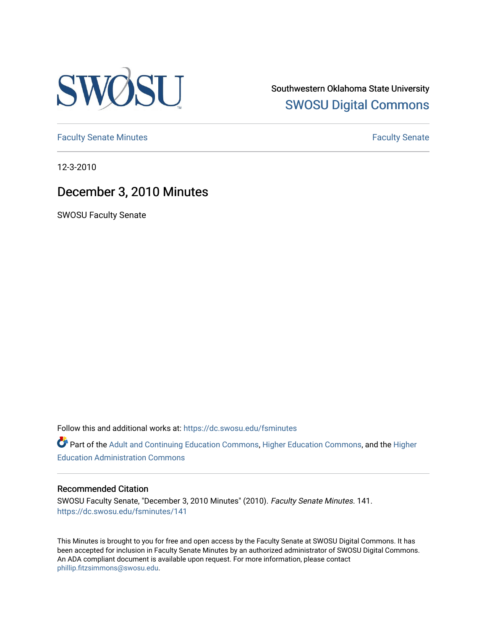

Southwestern Oklahoma State University [SWOSU Digital Commons](https://dc.swosu.edu/) 

[Faculty Senate Minutes](https://dc.swosu.edu/fsminutes) **Faculty** Senate Minutes

12-3-2010

# December 3, 2010 Minutes

SWOSU Faculty Senate

Follow this and additional works at: [https://dc.swosu.edu/fsminutes](https://dc.swosu.edu/fsminutes?utm_source=dc.swosu.edu%2Ffsminutes%2F141&utm_medium=PDF&utm_campaign=PDFCoverPages) 

Part of the [Adult and Continuing Education Commons,](http://network.bepress.com/hgg/discipline/1375?utm_source=dc.swosu.edu%2Ffsminutes%2F141&utm_medium=PDF&utm_campaign=PDFCoverPages) [Higher Education Commons,](http://network.bepress.com/hgg/discipline/1245?utm_source=dc.swosu.edu%2Ffsminutes%2F141&utm_medium=PDF&utm_campaign=PDFCoverPages) and the [Higher](http://network.bepress.com/hgg/discipline/791?utm_source=dc.swosu.edu%2Ffsminutes%2F141&utm_medium=PDF&utm_campaign=PDFCoverPages) [Education Administration Commons](http://network.bepress.com/hgg/discipline/791?utm_source=dc.swosu.edu%2Ffsminutes%2F141&utm_medium=PDF&utm_campaign=PDFCoverPages) 

#### Recommended Citation

SWOSU Faculty Senate, "December 3, 2010 Minutes" (2010). Faculty Senate Minutes. 141. [https://dc.swosu.edu/fsminutes/141](https://dc.swosu.edu/fsminutes/141?utm_source=dc.swosu.edu%2Ffsminutes%2F141&utm_medium=PDF&utm_campaign=PDFCoverPages) 

This Minutes is brought to you for free and open access by the Faculty Senate at SWOSU Digital Commons. It has been accepted for inclusion in Faculty Senate Minutes by an authorized administrator of SWOSU Digital Commons. An ADA compliant document is available upon request. For more information, please contact [phillip.fitzsimmons@swosu.edu](mailto:phillip.fitzsimmons@swosu.edu).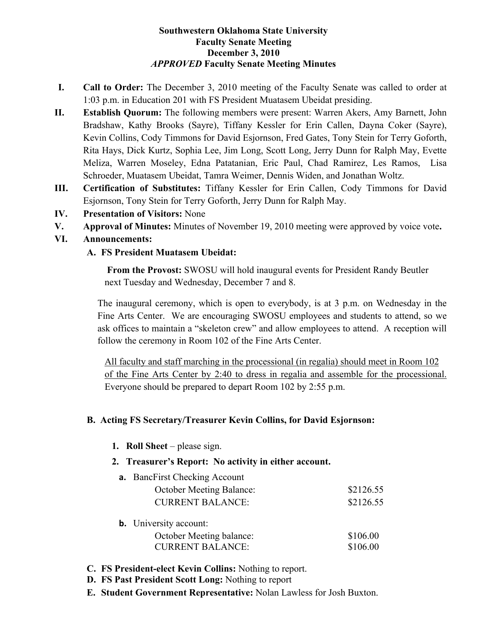#### **Southwestern Oklahoma State University Faculty Senate Meeting December 3, 2010** *APPROVED* **Faculty Senate Meeting Minutes**

- **I. Call to Order:** The December 3, 2010 meeting of the Faculty Senate was called to order at 1:03 p.m. in Education 201 with FS President Muatasem Ubeidat presiding.
- **II. Establish Quorum:** The following members were present: Warren Akers, Amy Barnett, John Bradshaw, Kathy Brooks (Sayre), Tiffany Kessler for Erin Callen, Dayna Coker (Sayre), Kevin Collins, Cody Timmons for David Esjornson, Fred Gates, Tony Stein for Terry Goforth, Rita Hays, Dick Kurtz, Sophia Lee, Jim Long, Scott Long, Jerry Dunn for Ralph May, Evette Meliza, Warren Moseley, Edna Patatanian, Eric Paul, Chad Ramirez, Les Ramos, Lisa Schroeder, Muatasem Ubeidat, Tamra Weimer, Dennis Widen, and Jonathan Woltz.
- **III. Certification of Substitutes:** Tiffany Kessler for Erin Callen, Cody Timmons for David Esjornson, Tony Stein for Terry Goforth, Jerry Dunn for Ralph May.
- **IV. Presentation of Visitors:** None
- **V. Approval of Minutes:** Minutes of November 19, 2010 meeting were approved by voice vote**.**
- **VI. Announcements:**

## **A. FS President Muatasem Ubeidat:**

**From the Provost:** SWOSU will hold inaugural events for President Randy Beutler next Tuesday and Wednesday, December 7 and 8.

The inaugural ceremony, which is open to everybody, is at 3 p.m. on Wednesday in the Fine Arts Center. We are encouraging SWOSU employees and students to attend, so we ask offices to maintain a "skeleton crew" and allow employees to attend. A reception will follow the ceremony in Room 102 of the Fine Arts Center.

All faculty and staff marching in the processional (in regalia) should meet in Room 102 of the Fine Arts Center by 2:40 to dress in regalia and assemble for the processional. Everyone should be prepared to depart Room 102 by 2:55 p.m.

# **B. Acting FS Secretary/Treasurer Kevin Collins, for David Esjornson:**

**1. Roll Sheet** – please sign.

#### **2. Treasurer's Report: No activity in either account.**

|  | <b>a.</b> BancFirst Checking Account |           |
|--|--------------------------------------|-----------|
|  | <b>October Meeting Balance:</b>      | \$2126.55 |
|  | <b>CURRENT BALANCE:</b>              | \$2126.55 |
|  |                                      |           |

- **b.** University account: October Meeting balance: \$106.00 CURRENT BALANCE: \$106.00
- **C. FS President-elect Kevin Collins:** Nothing to report.
- **D. FS Past President Scott Long:** Nothing to report
- **E. Student Government Representative:** Nolan Lawless for Josh Buxton.